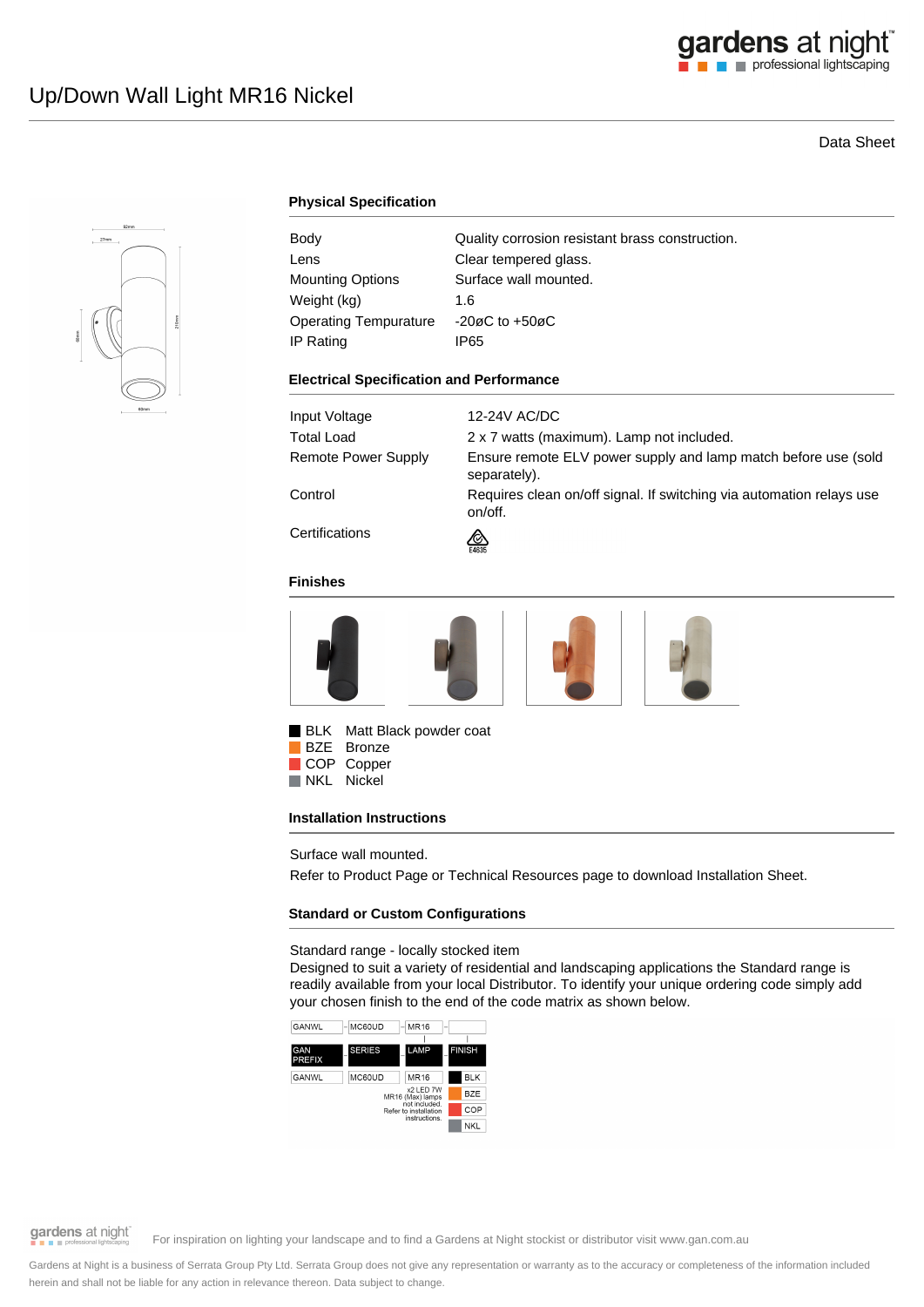# Data Sheet



## **Physical Specification**

| Body                         | Quality corrosion resistant brass construction. |
|------------------------------|-------------------------------------------------|
| Lens                         | Clear tempered glass.                           |
| <b>Mounting Options</b>      | Surface wall mounted.                           |
| Weight (kg)                  | 1.6                                             |
| <b>Operating Tempurature</b> | $-20\varnothing$ C to $+50\varnothing$ C        |
| IP Rating                    | IP65                                            |

#### **Electrical Specification and Performance**

| Input Voltage       | 12-24V AC/DC                                                                    |
|---------------------|---------------------------------------------------------------------------------|
| <b>Total Load</b>   | 2 x 7 watts (maximum). Lamp not included.                                       |
| Remote Power Supply | Ensure remote ELV power supply and lamp match before use (sold<br>separately).  |
| Control             | Requires clean on/off signal. If switching via automation relays use<br>on/off. |
| Certifications      | <u>ଭ</u><br>E4635                                                               |

#### **Finishes**





BLK Matt Black powder coat BZE Bronze COP Copper<br>NKL Nickel Nickel

#### **Installation Instructions**

Surface wall mounted.

Refer to Product Page or Technical Resources page to download Installation Sheet.

#### **Standard or Custom Configurations**

Standard range - locally stocked item

Designed to suit a variety of residential and landscaping applications the Standard range is readily available from your local Distributor. To identify your unique ordering code simply add your chosen finish to the end of the code matrix as shown below.





gardens at night

For inspiration on lighting your landscape and to find a Gardens at Night stockist or distributor visit www.gan.com.au

Gardens at Night is a business of Serrata Group Pty Ltd. Serrata Group does not give any representation or warranty as to the accuracy or completeness of the information included herein and shall not be liable for any action in relevance thereon. Data subject to change.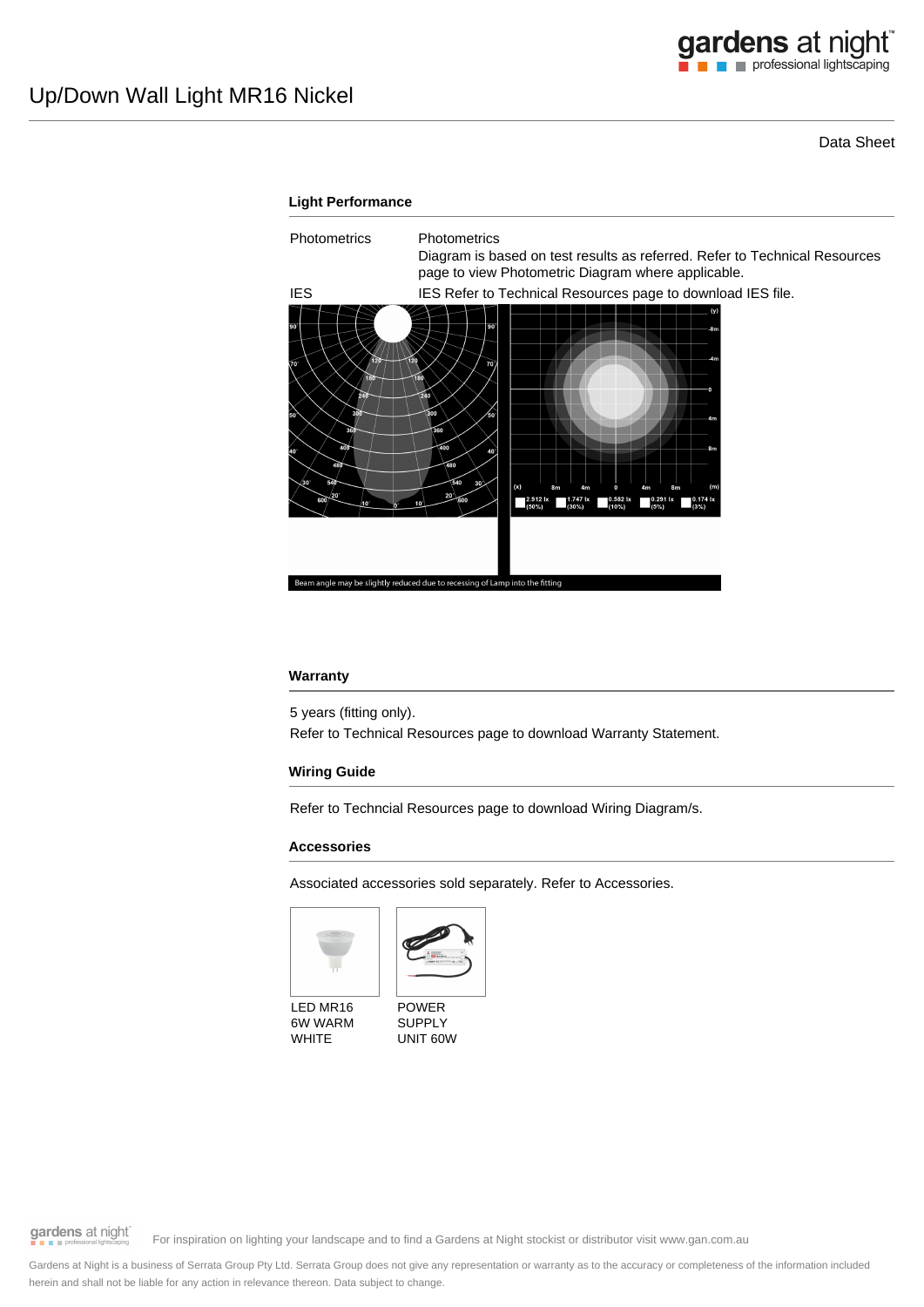Data Sheet



#### **Warranty**

5 years (fitting only).

Refer to Technical Resources page to download Warranty Statement.

### **Wiring Guide**

Refer to Techncial Resources page to download Wiring Diagram/s.

#### **Accessories**

Associated accessories sold separately. Refer to Accessories.





LED MR16 6W WARM WHITE

POWER SUPPLY UNIT 60W

gardens at night

For inspiration on lighting your landscape and to find a Gardens at Night stockist or distributor visit www.gan.com.au

Gardens at Night is a business of Serrata Group Pty Ltd. Serrata Group does not give any representation or warranty as to the accuracy or completeness of the information included herein and shall not be liable for any action in relevance thereon. Data subject to change.